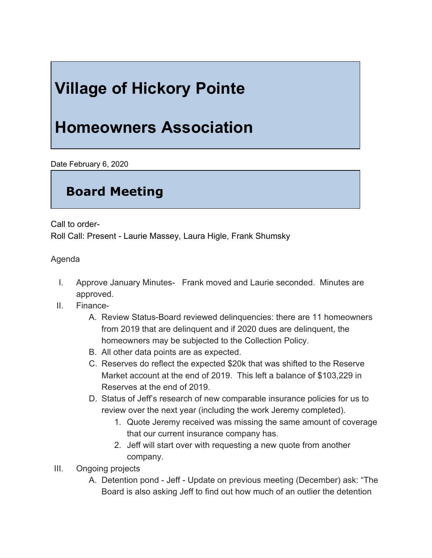## **Village of Hickory Pointe**

## **Homeowners Association**

Date February 6, 2020

## **Board Meeting**

Call to order-

Roll Call: Present - Laurie Massey, Laura Higle, Frank Shumsky

Agenda

- I. Approve January Minutes- Frank moved and Laurie seconded. Minutes are approved.
- II. Finance-
	- A. Review Status-Board reviewed delinquencies: there are 11 homeowners from 2019 that are delinquent and if 2020 dues are delinquent, the homeowners may be subjected to the Collection Policy.
	- B. All other data points are as expected.
	- C. Reserves do reflect the expected \$20k that was shifted to the Reserve Market account at the end of 2019. This left a balance of \$103,229 in Reserves at the end of 2019.
	- D. Status of Jeff's research of new comparable insurance policies for us to review over the next year (including the work Jeremy completed).
		- 1. Quote Jeremy received was missing the same amount of coverage that our current insurance company has.
		- 2. Jeff will start over with requesting a new quote from another company.
- III. Ongoing projects
	- A. Detention pond Jeff Update on previous meeting (December) ask: "The Board is also asking Jeff to find out how much of an outlier the detention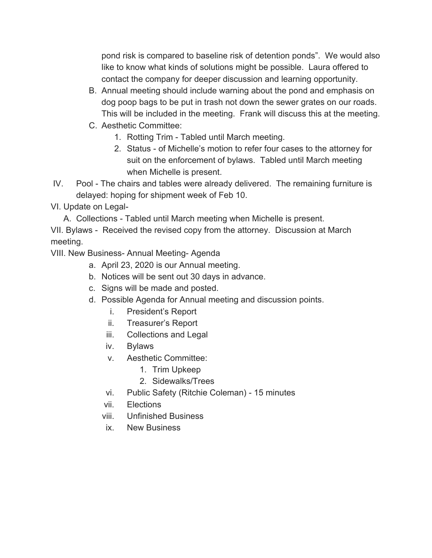pond risk is compared to baseline risk of detention ponds". We would also like to know what kinds of solutions might be possible. Laura offered to contact the company for deeper discussion and learning opportunity.

- B. Annual meeting should include warning about the pond and emphasis on dog poop bags to be put in trash not down the sewer grates on our roads. This will be included in the meeting. Frank will discuss this at the meeting.
- C. Aesthetic Committee:
	- 1. Rotting Trim Tabled until March meeting.
	- 2. Status of Michelle's motion to refer four cases to the attorney for suit on the enforcement of bylaws. Tabled until March meeting when Michelle is present.
- IV. Pool The chairs and tables were already delivered. The remaining furniture is delayed: hoping for shipment week of Feb 10.
- VI. Update on Legal-
	- A. Collections Tabled until March meeting when Michelle is present.

VII. Bylaws - Received the revised copy from the attorney. Discussion at March meeting.

VIII. New Business- Annual Meeting- Agenda

- a. April 23, 2020 is our Annual meeting.
- b. Notices will be sent out 30 days in advance.
- c. Signs will be made and posted.
- d. Possible Agenda for Annual meeting and discussion points.
	- i. President's Report
	- ii. Treasurer's Report
	- iii. Collections and Legal
	- iv. Bylaws
	- v. Aesthetic Committee:
		- 1. Trim Upkeep
		- 2. Sidewalks/Trees
	- vi. Public Safety (Ritchie Coleman) 15 minutes
	- vii. Elections
	- viii. Unfinished Business
	- ix. New Business